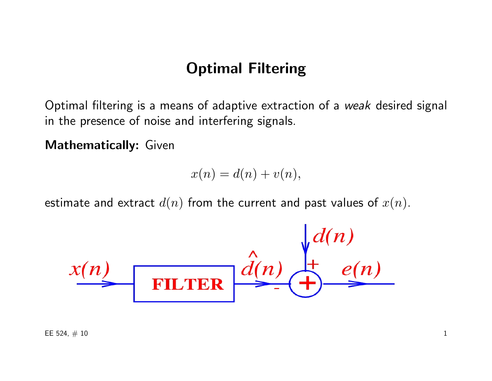# Optimal Filtering

Optimal filtering is a means of adaptive extraction of a weak desired signal in the presence of noise and interfering signals.

Mathematically: Given

$$
x(n) = d(n) + v(n),
$$

estimate and extract  $d(n)$  from the current and past values of  $x(n)$ .

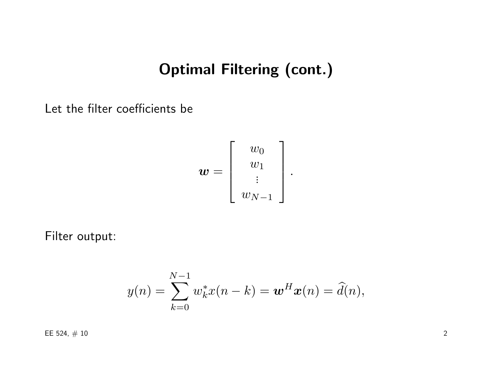# Optimal Filtering (cont.)

Let the filter coefficients be

$$
\boldsymbol{w} = \left[ \begin{array}{c} w_0 \\ w_1 \\ \vdots \\ w_{N-1} \end{array} \right].
$$

Filter output:

$$
y(n) = \sum_{k=0}^{N-1} w_k^* x(n-k) = \mathbf{w}^H \mathbf{x}(n) = \widehat{d}(n),
$$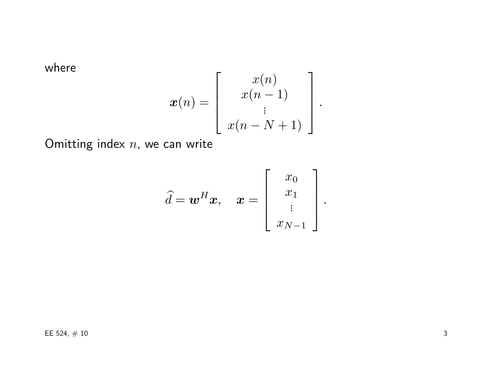where

$$
\boldsymbol{x}(n) = \left[ \begin{array}{c} x(n) \\ x(n-1) \\ \vdots \\ x(n-N+1) \end{array} \right].
$$

Omitting index  $n$ , we can write

$$
\widehat{d} = \boldsymbol{w}^H \boldsymbol{x}, \quad \boldsymbol{x} = \left[ \begin{array}{c} x_0 \\ x_1 \\ \vdots \\ x_{N-1} \end{array} \right].
$$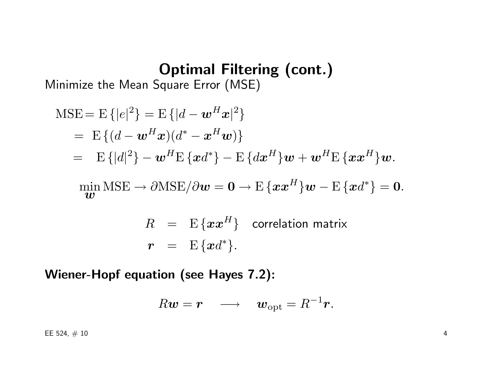# Optimal Filtering (cont.)

Minimize the Mean Square Error (MSE)

$$
\begin{aligned}\n\text{MSE} &= \mathbb{E}\{|e|^2\} = \mathbb{E}\{|d - \boldsymbol{w}^H \boldsymbol{x}|^2\} \\
&= \mathbb{E}\{(d - \boldsymbol{w}^H \boldsymbol{x})(d^* - \boldsymbol{x}^H \boldsymbol{w})\} \\
&= \mathbb{E}\{|d|^2\} - \boldsymbol{w}^H \mathbb{E}\{\boldsymbol{x}d^*\} - \mathbb{E}\{d\boldsymbol{x}^H\}\boldsymbol{w} + \boldsymbol{w}^H \mathbb{E}\{\boldsymbol{x}\boldsymbol{x}^H\}\boldsymbol{w}.\n\end{aligned}
$$
\n
$$
\begin{aligned}\n\min \text{MSE} &\rightarrow \partial \text{MSE}/\partial \boldsymbol{w} = \boldsymbol{0} \rightarrow \mathbb{E}\{\boldsymbol{x}\boldsymbol{x}^H\}\boldsymbol{w} - \mathbb{E}\{\boldsymbol{x}d^*\} = \boldsymbol{0}.\n\end{aligned}
$$

$$
R = E\{xx^H\} \quad \text{correlation matrix}
$$
  

$$
r = E\{xd^*\}.
$$

Wiener-Hopf equation (see Hayes 7.2):

$$
R\boldsymbol{w}=\boldsymbol{r} \quad \longrightarrow \quad \boldsymbol{w}_{\rm opt}=R^{-1}\boldsymbol{r}.
$$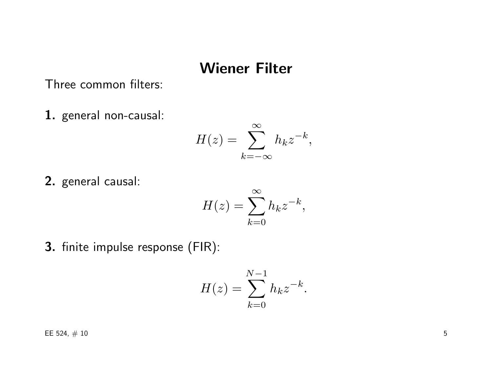## Wiener Filter

#### Three common filters:

1. general non-causal:

$$
H(z) = \sum_{k=-\infty}^{\infty} h_k z^{-k},
$$

2. general causal:

$$
H(z) = \sum_{k=0}^{\infty} h_k z^{-k},
$$

3. finite impulse response (FIR):

$$
H(z) = \sum_{k=0}^{N-1} h_k z^{-k}.
$$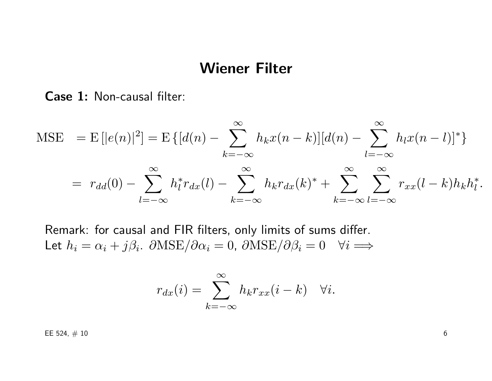### Wiener Filter

Case 1: Non-causal filter:

$$
\text{MSE} = \text{E}\left[|e(n)|^2\right] = \text{E}\left\{ [d(n) - \sum_{k=-\infty}^{\infty} h_k x(n-k)] [d(n) - \sum_{l=-\infty}^{\infty} h_l x(n-l)]^* \right\}
$$
  
=  $r_{dd}(0) - \sum_{l=-\infty}^{\infty} h_l^* r_{dx}(l) - \sum_{k=-\infty}^{\infty} h_k r_{dx}(k)^* + \sum_{k=-\infty}^{\infty} \sum_{l=-\infty}^{\infty} r_{xx}(l-k)h_k h_l^*.$ 

Remark: for causal and FIR filters, only limits of sums differ. Let  $h_i = \alpha_i + j\beta_i$ .  $\partial \text{MSE}/\partial \alpha_i = 0$ ,  $\partial \text{MSE}/\partial \beta_i = 0$   $\forall i \implies$ 

$$
r_{dx}(i) = \sum_{k=-\infty}^{\infty} h_k r_{xx}(i-k) \quad \forall i.
$$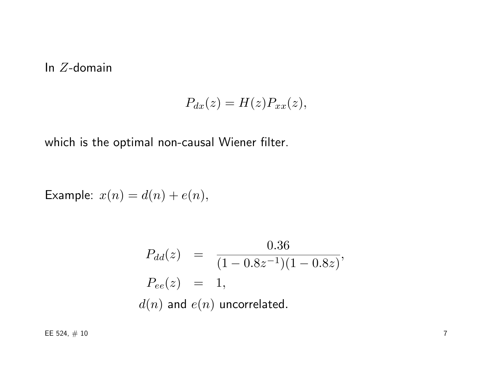#### In Z-domain

$$
P_{dx}(z) = H(z)P_{xx}(z),
$$

which is the optimal non-causal Wiener filter.

Example:  $x(n) = d(n) + e(n)$ ,

$$
P_{dd}(z) = \frac{0.36}{(1 - 0.8z^{-1})(1 - 0.8z)},
$$
  
\n
$$
P_{ee}(z) = 1,
$$
  
\n
$$
d(n) \text{ and } e(n) \text{ uncorrelated.}
$$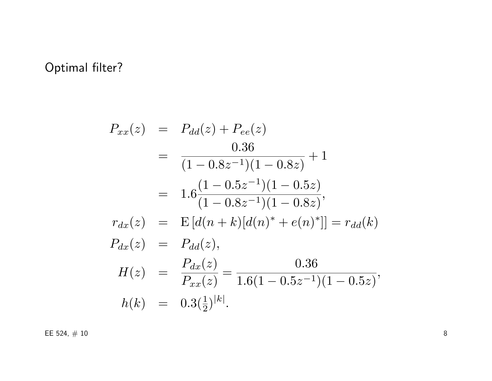## Optimal filter?

$$
P_{xx}(z) = P_{dd}(z) + P_{ee}(z)
$$
  
= 
$$
\frac{0.36}{(1 - 0.8z^{-1})(1 - 0.8z)} + 1
$$
  
= 
$$
1.6 \frac{(1 - 0.5z^{-1})(1 - 0.5z)}{(1 - 0.8z^{-1})(1 - 0.8z)},
$$
  

$$
r_{dx}(z) = E[d(n + k)[d(n)^* + e(n)^*]] = r_{dd}(k)
$$
  

$$
P_{dx}(z) = P_{dd}(z),
$$
  

$$
H(z) = \frac{P_{dx}(z)}{P_{xx}(z)} = \frac{0.36}{1.6(1 - 0.5z^{-1})(1 - 0.5z)},
$$
  

$$
h(k) = 0.3(\frac{1}{2})^{|k|}.
$$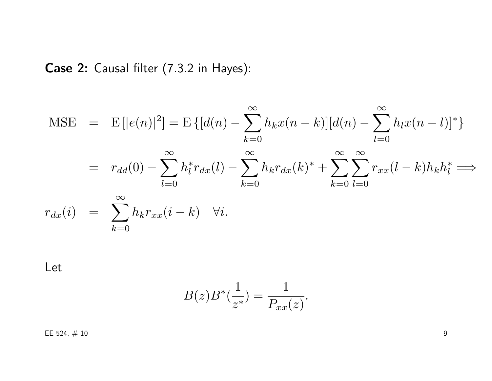Case 2: Causal filter (7.3.2 in Hayes):

$$
\begin{aligned}\n\text{MSE} &= \mathbb{E}\left[|e(n)|^2\right] = \mathbb{E}\left\{[d(n) - \sum_{k=0}^{\infty} h_k x(n-k)][d(n) - \sum_{l=0}^{\infty} h_l x(n-l)]^*\right\} \\
&= r_{dd}(0) - \sum_{l=0}^{\infty} h_l^* r_{dx}(l) - \sum_{k=0}^{\infty} h_k r_{dx}(k)^* + \sum_{k=0}^{\infty} \sum_{l=0}^{\infty} r_{xx}(l-k)h_k h_l^* \implies \\
r_{dx}(i) &= \sum_{k=0}^{\infty} h_k r_{xx}(i-k) \quad \forall i.\n\end{aligned}
$$

Let

$$
B(z)B^*(\frac{1}{z^*}) = \frac{1}{P_{xx}(z)}.
$$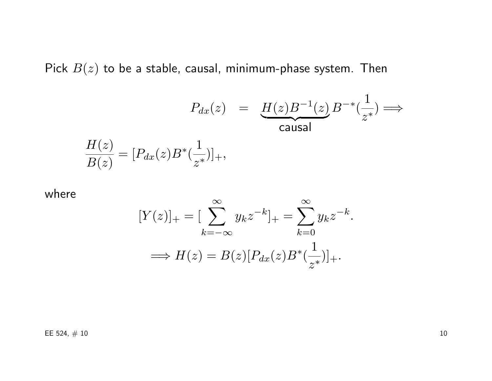Pick  $B(z)$  to be a stable, causal, minimum-phase system. Then

$$
P_{dx}(z) = \underbrace{H(z)B^{-1}(z)}_{\text{causal}}B^{-*}(\frac{1}{z^*}) \Longrightarrow
$$

$$
\frac{H(z)}{B(z)} = [P_{dx}(z)B^*(\frac{1}{z^*})]_+,
$$

where

$$
[Y(z)]_{+} = \left[\sum_{k=-\infty}^{\infty} y_k z^{-k}\right]_{+} = \sum_{k=0}^{\infty} y_k z^{-k}.
$$

$$
\implies H(z) = B(z)[P_{dx}(z)B^*(\frac{1}{z^*})]_{+}.
$$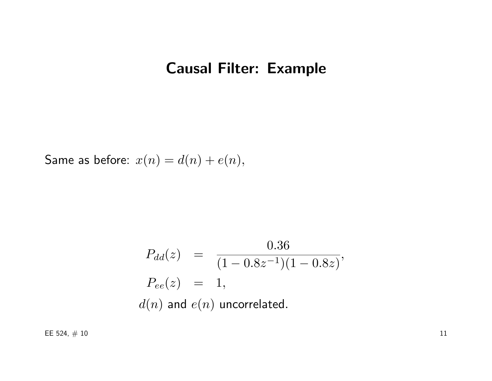# Causal Filter: Example

Same as before:  $x(n) = d(n) + e(n)$ ,

$$
P_{dd}(z) = \frac{0.36}{(1 - 0.8z^{-1})(1 - 0.8z)},
$$
  
\n
$$
P_{ee}(z) = 1,
$$
  
\n
$$
d(n) \text{ and } e(n) \text{ uncorrelated.}
$$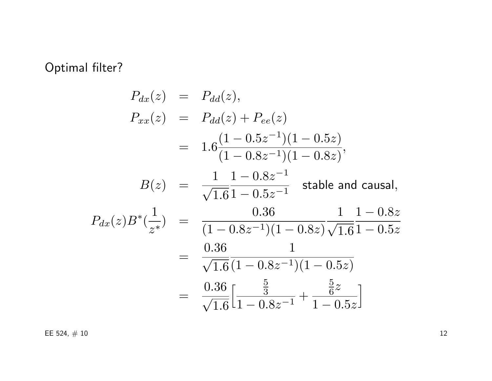## Optimal filter?

$$
P_{dx}(z) = P_{dd}(z),
$$
  
\n
$$
P_{xx}(z) = P_{dd}(z) + P_{ee}(z)
$$
  
\n
$$
= 1.6 \frac{(1 - 0.5z^{-1})(1 - 0.5z)}{(1 - 0.8z^{-1})(1 - 0.8z)},
$$
  
\n
$$
B(z) = \frac{1}{\sqrt{1.6}} \frac{1 - 0.8z^{-1}}{1 - 0.5z^{-1}} \text{ stable and causal},
$$
  
\n
$$
P_{dx}(z)B^*(\frac{1}{z^*}) = \frac{0.36}{(1 - 0.8z^{-1})(1 - 0.8z)} \frac{1}{\sqrt{1.6}} \frac{1 - 0.8z}{1 - 0.5z}
$$
  
\n
$$
= \frac{0.36}{\sqrt{1.6}} \frac{1}{(1 - 0.8z^{-1})(1 - 0.5z)}
$$
  
\n
$$
= \frac{0.36}{\sqrt{1.6}} \left[\frac{\frac{5}{3}}{1 - 0.8z^{-1}} + \frac{\frac{5}{6}z}{1 - 0.5z}\right]
$$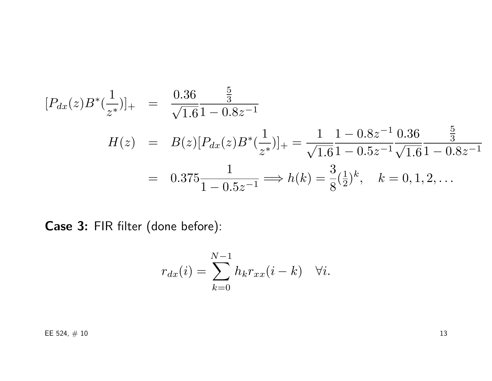$$
[P_{dx}(z)B^*(\frac{1}{z^*})]_+ = \frac{0.36}{\sqrt{1.6}} \frac{\frac{5}{3}}{1 - 0.8z^{-1}}
$$
  
\n
$$
H(z) = B(z)[P_{dx}(z)B^*(\frac{1}{z^*})]_+ = \frac{1}{\sqrt{1.6}} \frac{1 - 0.8z^{-1}}{1 - 0.5z^{-1}} \frac{0.36}{\sqrt{1.6}} \frac{\frac{5}{3}}{1 - 0.8z^{-1}}
$$
  
\n
$$
= 0.375 \frac{1}{1 - 0.5z^{-1}} \Longrightarrow h(k) = \frac{3}{8}(\frac{1}{2})^k, \quad k = 0, 1, 2, ...
$$

Case 3: FIR filter (done before):

$$
r_{dx}(i) = \sum_{k=0}^{N-1} h_k r_{xx}(i-k) \quad \forall i.
$$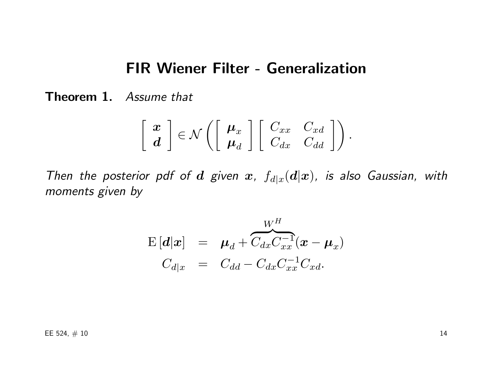### FIR Wiener Filter - Generalization

Theorem 1. Assume that

$$
\left[\begin{array}{c} \boldsymbol{x} \\ \boldsymbol{d} \end{array}\right] \in \mathcal{N}\left(\left[\begin{array}{c} \boldsymbol{\mu}_x \\ \boldsymbol{\mu}_d \end{array}\right] \left[\begin{array}{cc} C_{xx} & C_{xd} \\ C_{dx} & C_{dd} \end{array}\right]\right).
$$

Then the posterior pdf of  $d$  given  $x$ ,  $f_{d|x}(d|x)$ , is also Gaussian, with moments given by

$$
\begin{array}{rcl}\n\mathbf{E}\left[\boldsymbol{d}|\boldsymbol{x}\right] & = & \boldsymbol{\mu}_d + \overbrace{C_{dx}C_{xx}^{-1}}^{\boldsymbol{W}^H}(\boldsymbol{x}-\boldsymbol{\mu}_x) \\
C_{d|x} & = & C_{dd} - C_{dx}C_{xx}^{-1}C_{xd}.\n\end{array}
$$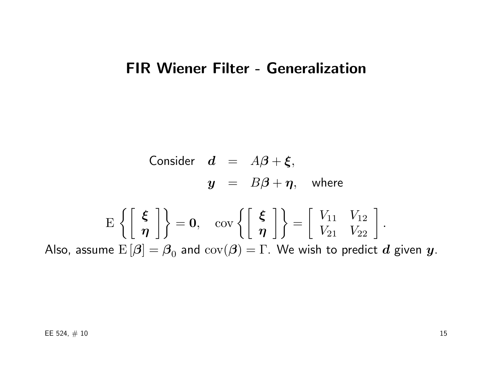# FIR Wiener Filter - Generalization

Consider 
$$
d = A\beta + \xi
$$
,  
\n $y = B\beta + \eta$ , where

$$
\mathrm{E}\left\{\left[\begin{array}{c} \xi \\ \eta \end{array}\right]\right\} = \mathbf{0}, \quad \mathrm{cov}\left\{\left[\begin{array}{c} \xi \\ \eta \end{array}\right]\right\} = \left[\begin{array}{cc} V_{11} & V_{12} \\ V_{21} & V_{22} \end{array}\right].
$$
  
Also, assume  $\mathrm{E}\left[\beta\right] = \beta_0$  and  $\mathrm{cov}(\beta) = \Gamma$ . We wish to predict  $d$  given  $y$ .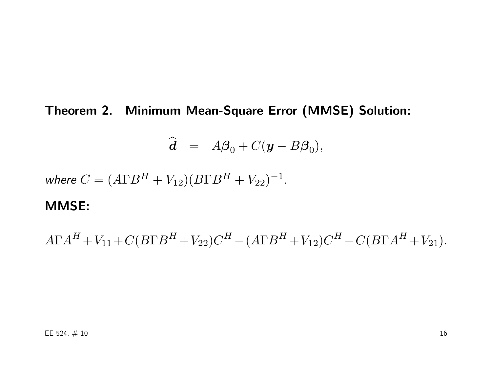Theorem 2. Minimum Mean-Square Error (MMSE) Solution:

$$
\widehat{\mathbf{d}} = A\boldsymbol{\beta}_0 + C(\mathbf{y} - B\boldsymbol{\beta}_0),
$$

where  $C = (A\Gamma B^{H} + V_{12})(B\Gamma B^{H} + V_{22})^{-1}$ .

#### MMSE:

 $A\Gamma A^{H}+V_{11}+C(B\Gamma B^{H}+V_{22})C^{H}-(A\Gamma B^{H}+V_{12})C^{H}-C(B\Gamma A^{H}+V_{21}).$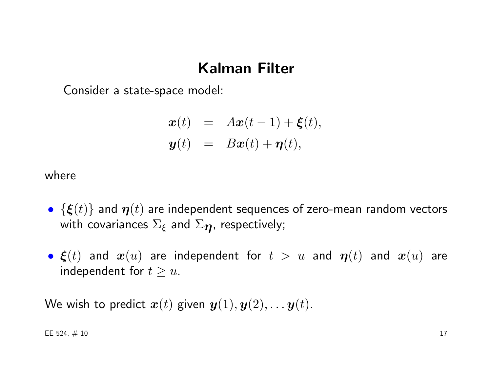## Kalman Filter

Consider a state-space model:

$$
\begin{array}{rcl}\n\boldsymbol{x}(t) & = & A\boldsymbol{x}(t-1) + \boldsymbol{\xi}(t), \\
\boldsymbol{y}(t) & = & B\boldsymbol{x}(t) + \boldsymbol{\eta}(t),\n\end{array}
$$

where

- $\{\boldsymbol{\xi}(t)\}\$  and  $\boldsymbol{\eta}(t)$  are independent sequences of zero-mean random vectors with covariances  $\Sigma_{\xi}$  and  $\Sigma_{\eta}$ , respectively;
- $\xi(t)$  and  $x(u)$  are independent for  $t > u$  and  $\eta(t)$  and  $x(u)$  are independent for  $t \geq u$ .

We wish to predict  $x(t)$  given  $y(1), y(2), \ldots y(t)$ .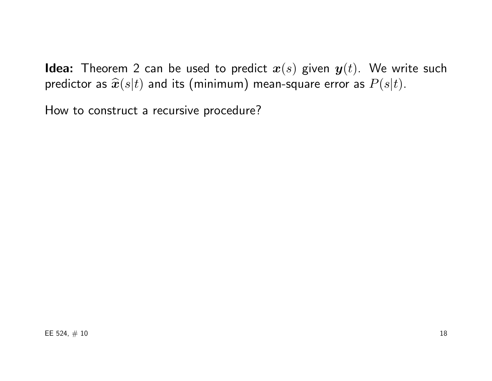**Idea:** Theorem 2 can be used to predict  $x(s)$  given  $y(t)$ . We write such predictor as  $\hat{x}(s|t)$  and its (minimum) mean-square error as  $P(s|t)$ .

How to construct a recursive procedure?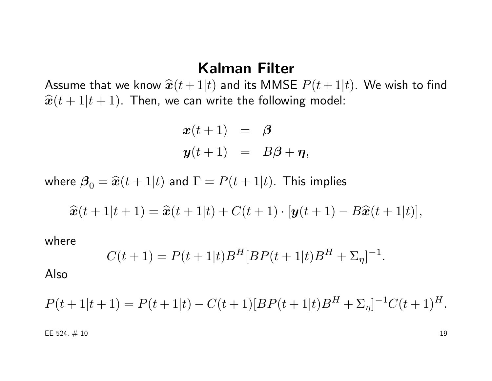#### Kalman Filter

Assume that we know  $\hat{x}(t + 1|t)$  and its MMSE  $P(t + 1|t)$ . We wish to find  $\hat{x}(t + 1|t + 1)$ . Then, we can write the following model:

$$
x(t+1) = \beta
$$
  

$$
y(t+1) = B\beta + \eta,
$$

where  $\beta_0 = \hat{x}(t + 1|t)$  and  $\Gamma = P(t + 1|t)$ . This implies

$$
\widehat{\boldsymbol{x}}(t+1|t+1) = \widehat{\boldsymbol{x}}(t+1|t) + C(t+1) \cdot [\boldsymbol{y}(t+1) - B\widehat{\boldsymbol{x}}(t+1|t)],
$$

where

$$
C(t+1) = P(t+1|t)BH[BP(t+1|t)BH + \Sigma_{\eta}]^{-1}.
$$

Also

$$
P(t+1|t+1) = P(t+1|t) - C(t+1)[BP(t+1|t)BH + \Sigma_{\eta}]^{-1}C(t+1)H.
$$